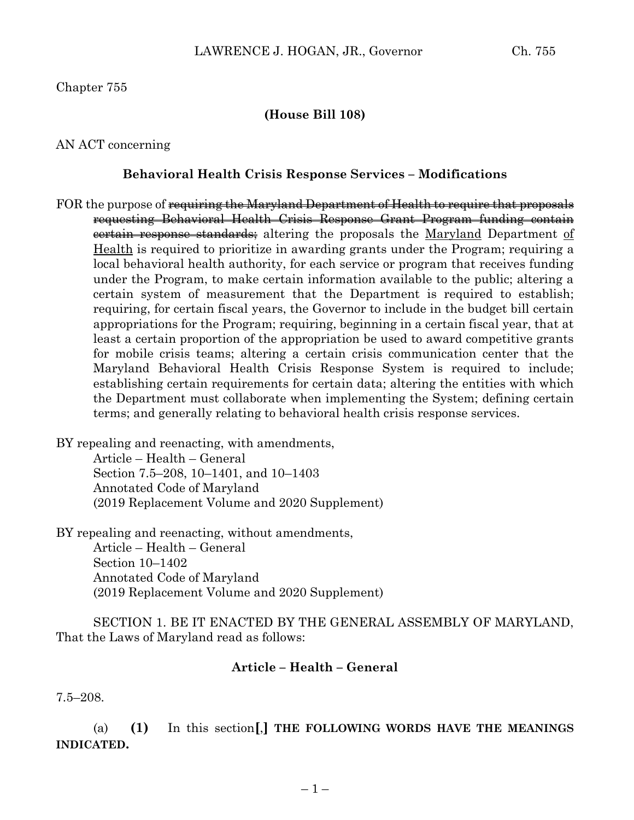### **(House Bill 108)**

AN ACT concerning

### **Behavioral Health Crisis Response Services – Modifications**

FOR the purpose of requiring the Maryland Department of Health to require that proposals requesting Behavioral Health Crisis Response Grant Program funding contain certain response standards; altering the proposals the Maryland Department of Health is required to prioritize in awarding grants under the Program; requiring a local behavioral health authority, for each service or program that receives funding under the Program, to make certain information available to the public; altering a certain system of measurement that the Department is required to establish; requiring, for certain fiscal years, the Governor to include in the budget bill certain appropriations for the Program; requiring, beginning in a certain fiscal year, that at least a certain proportion of the appropriation be used to award competitive grants for mobile crisis teams; altering a certain crisis communication center that the Maryland Behavioral Health Crisis Response System is required to include; establishing certain requirements for certain data; altering the entities with which the Department must collaborate when implementing the System; defining certain terms; and generally relating to behavioral health crisis response services.

BY repealing and reenacting, with amendments,

Article – Health – General Section 7.5–208, 10–1401, and 10–1403 Annotated Code of Maryland (2019 Replacement Volume and 2020 Supplement)

BY repealing and reenacting, without amendments, Article – Health – General Section 10–1402 Annotated Code of Maryland (2019 Replacement Volume and 2020 Supplement)

SECTION 1. BE IT ENACTED BY THE GENERAL ASSEMBLY OF MARYLAND, That the Laws of Maryland read as follows:

## **Article – Health – General**

7.5–208.

(a) **(1)** In this section**[**,**] THE FOLLOWING WORDS HAVE THE MEANINGS INDICATED.**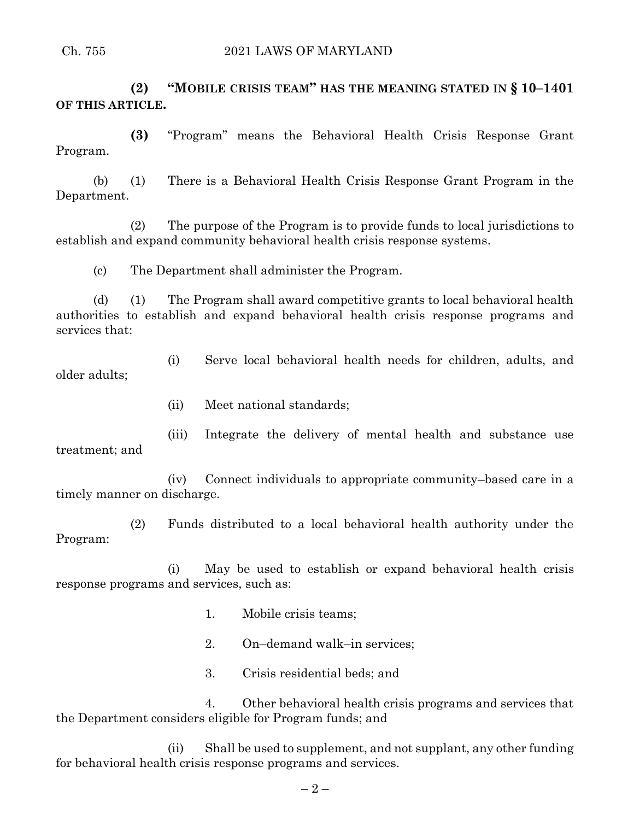**(2) "MOBILE CRISIS TEAM" HAS THE MEANING STATED IN § 10–1401 OF THIS ARTICLE.**

**(3)** "Program" means the Behavioral Health Crisis Response Grant Program.

(b) (1) There is a Behavioral Health Crisis Response Grant Program in the Department.

(2) The purpose of the Program is to provide funds to local jurisdictions to establish and expand community behavioral health crisis response systems.

(c) The Department shall administer the Program.

(d) (1) The Program shall award competitive grants to local behavioral health authorities to establish and expand behavioral health crisis response programs and services that:

(i) Serve local behavioral health needs for children, adults, and older adults;

(ii) Meet national standards;

(iii) Integrate the delivery of mental health and substance use treatment; and

(iv) Connect individuals to appropriate community–based care in a timely manner on discharge.

(2) Funds distributed to a local behavioral health authority under the Program:

(i) May be used to establish or expand behavioral health crisis response programs and services, such as:

- 1. Mobile crisis teams;
- 2. On–demand walk–in services;
- 3. Crisis residential beds; and

4. Other behavioral health crisis programs and services that the Department considers eligible for Program funds; and

(ii) Shall be used to supplement, and not supplant, any other funding for behavioral health crisis response programs and services.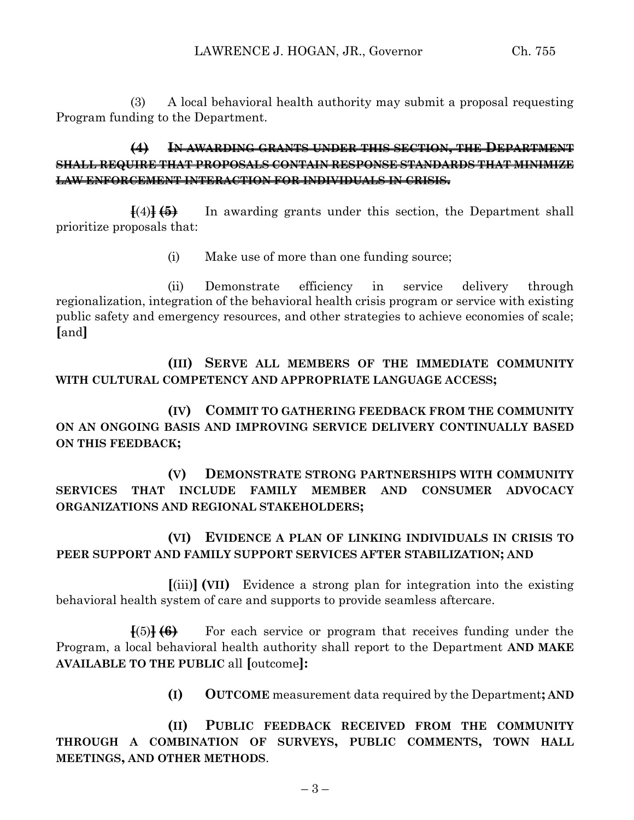(3) A local behavioral health authority may submit a proposal requesting Program funding to the Department.

# **(4) IN AWARDING GRANTS UNDER THIS SECTION, THE DEPARTMENT SHALL REQUIRE THAT PROPOSALS CONTAIN RESPONSE STANDARDS THAT MINIMIZE LAW ENFORCEMENT INTERACTION FOR INDIVIDUALS IN CRISIS.**

**[**(4)**] (5)** In awarding grants under this section, the Department shall prioritize proposals that:

(i) Make use of more than one funding source;

(ii) Demonstrate efficiency in service delivery through regionalization, integration of the behavioral health crisis program or service with existing public safety and emergency resources, and other strategies to achieve economies of scale; **[**and**]**

**(III) SERVE ALL MEMBERS OF THE IMMEDIATE COMMUNITY WITH CULTURAL COMPETENCY AND APPROPRIATE LANGUAGE ACCESS;**

**(IV) COMMIT TO GATHERING FEEDBACK FROM THE COMMUNITY ON AN ONGOING BASIS AND IMPROVING SERVICE DELIVERY CONTINUALLY BASED ON THIS FEEDBACK;**

**(V) DEMONSTRATE STRONG PARTNERSHIPS WITH COMMUNITY SERVICES THAT INCLUDE FAMILY MEMBER AND CONSUMER ADVOCACY ORGANIZATIONS AND REGIONAL STAKEHOLDERS;**

**(VI) EVIDENCE A PLAN OF LINKING INDIVIDUALS IN CRISIS TO PEER SUPPORT AND FAMILY SUPPORT SERVICES AFTER STABILIZATION; AND**

**[**(iii)**] (VII)** Evidence a strong plan for integration into the existing behavioral health system of care and supports to provide seamless aftercare.

**[**(5)**] (6)** For each service or program that receives funding under the Program, a local behavioral health authority shall report to the Department **AND MAKE AVAILABLE TO THE PUBLIC** all **[**outcome**]:**

**(I) OUTCOME** measurement data required by the Department**; AND**

**(II) PUBLIC FEEDBACK RECEIVED FROM THE COMMUNITY THROUGH A COMBINATION OF SURVEYS, PUBLIC COMMENTS, TOWN HALL MEETINGS, AND OTHER METHODS**.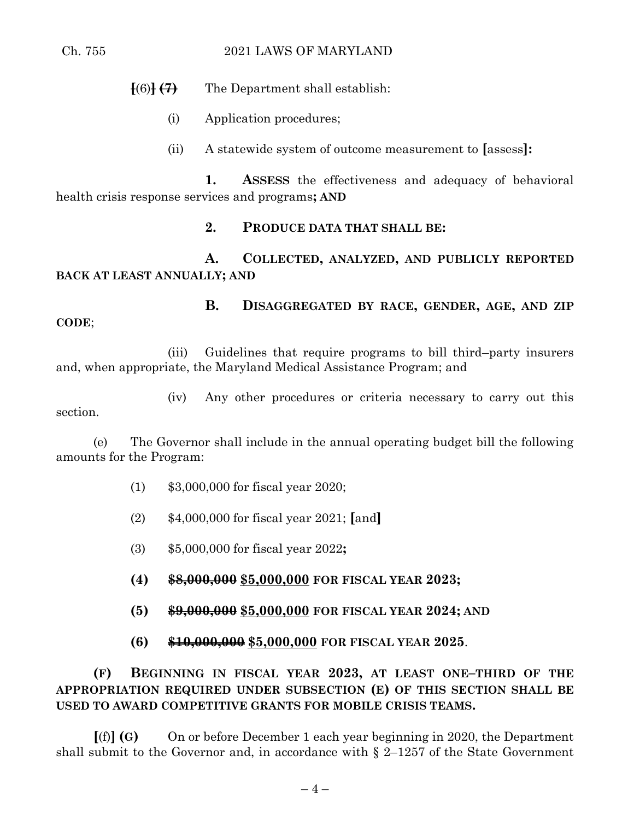#### Ch. 755 2021 LAWS OF MARYLAND

**[**(6)**] (7)** The Department shall establish:

- (i) Application procedures;
- (ii) A statewide system of outcome measurement to **[**assess**]:**

**1. ASSESS** the effectiveness and adequacy of behavioral health crisis response services and programs**; AND**

## **2. PRODUCE DATA THAT SHALL BE:**

# **A. COLLECTED, ANALYZED, AND PUBLICLY REPORTED BACK AT LEAST ANNUALLY; AND**

**B. DISAGGREGATED BY RACE, GENDER, AGE, AND ZIP CODE**;

(iii) Guidelines that require programs to bill third–party insurers and, when appropriate, the Maryland Medical Assistance Program; and

(iv) Any other procedures or criteria necessary to carry out this section.

(e) The Governor shall include in the annual operating budget bill the following amounts for the Program:

- (1) \$3,000,000 for fiscal year 2020;
- (2) \$4,000,000 for fiscal year 2021; **[**and**]**
- (3) \$5,000,000 for fiscal year 2022**;**
- **(4) \$8,000,000 \$5,000,000 FOR FISCAL YEAR 2023;**
- **(5) \$9,000,000 \$5,000,000 FOR FISCAL YEAR 2024; AND**
- **(6) \$10,000,000 \$5,000,000 FOR FISCAL YEAR 2025**.

**(F) BEGINNING IN FISCAL YEAR 2023, AT LEAST ONE–THIRD OF THE APPROPRIATION REQUIRED UNDER SUBSECTION (E) OF THIS SECTION SHALL BE USED TO AWARD COMPETITIVE GRANTS FOR MOBILE CRISIS TEAMS.**

**[**(f)**] (G)** On or before December 1 each year beginning in 2020, the Department shall submit to the Governor and, in accordance with  $\S$  2–1257 of the State Government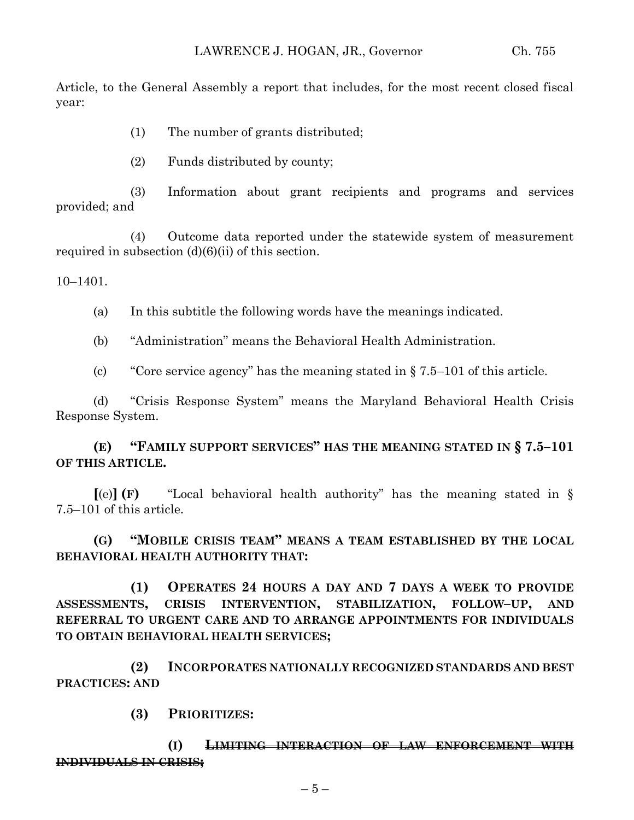Article, to the General Assembly a report that includes, for the most recent closed fiscal year:

- (1) The number of grants distributed;
- (2) Funds distributed by county;

(3) Information about grant recipients and programs and services provided; and

(4) Outcome data reported under the statewide system of measurement required in subsection (d)(6)(ii) of this section.

 $10-1401$ .

(a) In this subtitle the following words have the meanings indicated.

(b) "Administration" means the Behavioral Health Administration.

(c) "Core service agency" has the meaning stated in § 7.5–101 of this article.

(d) "Crisis Response System" means the Maryland Behavioral Health Crisis Response System.

**(E) "FAMILY SUPPORT SERVICES" HAS THE MEANING STATED IN § 7.5–101 OF THIS ARTICLE.**

**[**(e)**] (F)** "Local behavioral health authority" has the meaning stated in § 7.5–101 of this article.

**(G) "MOBILE CRISIS TEAM" MEANS A TEAM ESTABLISHED BY THE LOCAL BEHAVIORAL HEALTH AUTHORITY THAT:**

**(1) OPERATES 24 HOURS A DAY AND 7 DAYS A WEEK TO PROVIDE ASSESSMENTS, CRISIS INTERVENTION, STABILIZATION, FOLLOW–UP, AND REFERRAL TO URGENT CARE AND TO ARRANGE APPOINTMENTS FOR INDIVIDUALS TO OBTAIN BEHAVIORAL HEALTH SERVICES;**

**(2) INCORPORATES NATIONALLY RECOGNIZED STANDARDS AND BEST PRACTICES: AND** 

**(3) PRIORITIZES:**

**(I) LIMITING INTERACTION OF LAW ENFORCEMENT WITH INDIVIDUALS IN CRISIS;**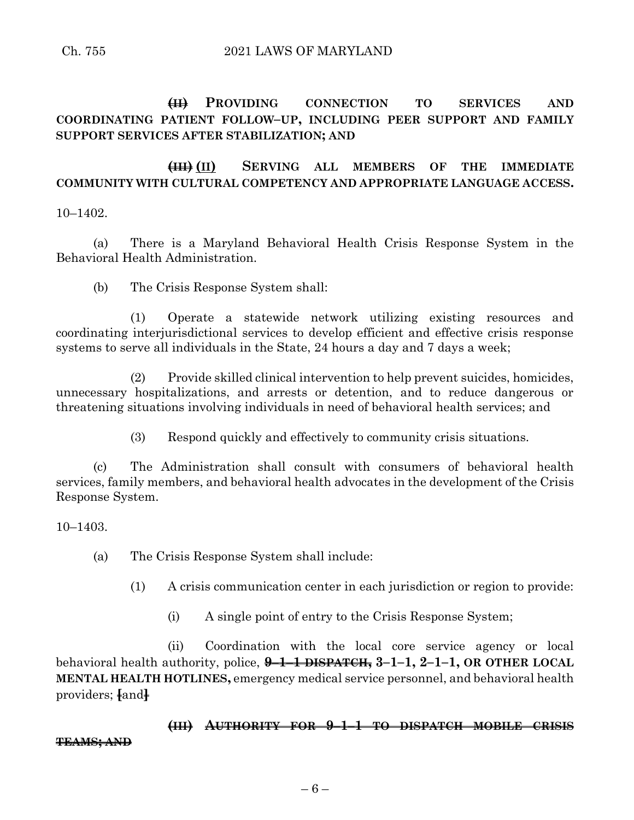# **(II) PROVIDING CONNECTION TO SERVICES AND COORDINATING PATIENT FOLLOW–UP, INCLUDING PEER SUPPORT AND FAMILY SUPPORT SERVICES AFTER STABILIZATION; AND**

# **(III) (II) SERVING ALL MEMBERS OF THE IMMEDIATE COMMUNITY WITH CULTURAL COMPETENCY AND APPROPRIATE LANGUAGE ACCESS.**

10–1402.

(a) There is a Maryland Behavioral Health Crisis Response System in the Behavioral Health Administration.

(b) The Crisis Response System shall:

(1) Operate a statewide network utilizing existing resources and coordinating interjurisdictional services to develop efficient and effective crisis response systems to serve all individuals in the State, 24 hours a day and 7 days a week;

(2) Provide skilled clinical intervention to help prevent suicides, homicides, unnecessary hospitalizations, and arrests or detention, and to reduce dangerous or threatening situations involving individuals in need of behavioral health services; and

(3) Respond quickly and effectively to community crisis situations.

(c) The Administration shall consult with consumers of behavioral health services, family members, and behavioral health advocates in the development of the Crisis Response System.

10–1403.

(a) The Crisis Response System shall include:

(1) A crisis communication center in each jurisdiction or region to provide:

(i) A single point of entry to the Crisis Response System;

(ii) Coordination with the local core service agency or local behavioral health authority, police, **9–1–1 DISPATCH, 3–1–1, 2–1–1, OR OTHER LOCAL MENTAL HEALTH HOTLINES,** emergency medical service personnel, and behavioral health providers; **[**and**]**

**(III) AUTHORITY FOR 9–1–1 TO DISPATCH MOBILE CRISIS TEAMS; AND**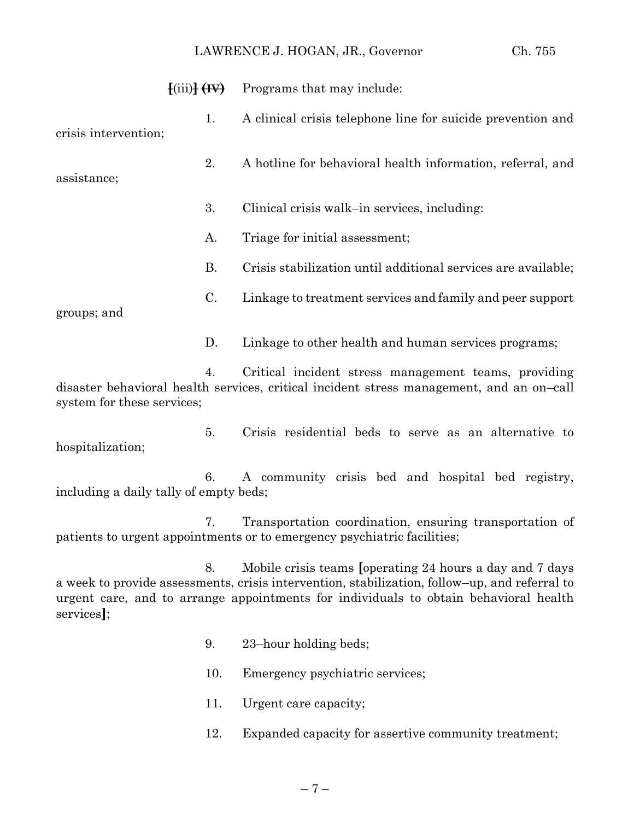#### LAWRENCE J. HOGAN, JR., Governor Ch. 755

|                      | $\left\{ \text{(iii)} \right\}$ $\left\{ \text{H} \right\}$ | Programs that may include:                                    |
|----------------------|-------------------------------------------------------------|---------------------------------------------------------------|
| crisis intervention; | 1.                                                          | A clinical crisis telephone line for suicide prevention and   |
| assistance;          | 2.                                                          | A hotline for behavioral health information, referral, and    |
|                      | 3.                                                          | Clinical crisis walk-in services, including:                  |
|                      | A.                                                          | Triage for initial assessment;                                |
|                      | Β.                                                          | Crisis stabilization until additional services are available; |
| groups; and          | C.                                                          | Linkage to treatment services and family and peer support     |
|                      | D.                                                          | Linkage to other health and human services programs;          |

4. Critical incident stress management teams, providing disaster behavioral health services, critical incident stress management, and an on–call system for these services;

5. Crisis residential beds to serve as an alternative to hospitalization;

6. A community crisis bed and hospital bed registry, including a daily tally of empty beds;

7. Transportation coordination, ensuring transportation of patients to urgent appointments or to emergency psychiatric facilities;

8. Mobile crisis teams **[**operating 24 hours a day and 7 days a week to provide assessments, crisis intervention, stabilization, follow–up, and referral to urgent care, and to arrange appointments for individuals to obtain behavioral health services**]**;

- 9. 23–hour holding beds;
- 10. Emergency psychiatric services;
- 11. Urgent care capacity;
- 12. Expanded capacity for assertive community treatment;